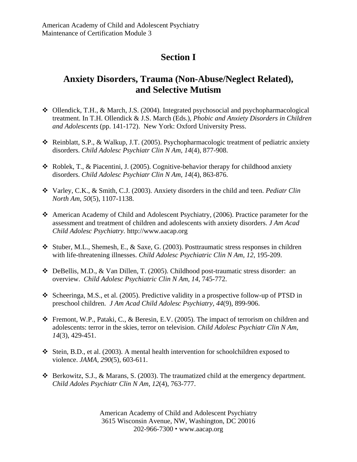## **Section I**

## **Anxiety Disorders, Trauma (Non-Abuse/Neglect Related), and Selective Mutism**

- $\triangleleft$  Ollendick, T.H., & March, J.S. (2004). Integrated psychosocial and psychopharmacological treatment. In T.H. Ollendick & J.S. March (Eds.), *Phobic and Anxiety Disorders in Children and Adolescents* (pp. 141-172). New York: Oxford University Press.
- Reinblatt, S.P., & Walkup, J.T. (2005). Psychopharmacologic treatment of pediatric anxiety disorders. *Child Adolesc Psychiatr Clin N Am, 14*(4), 877-908.
- $\triangleleft$  Roblek, T., & Piacentini, J. (2005). Cognitive-behavior therapy for childhood anxiety disorders. *Child Adolesc Psychiatr Clin N Am, 14*(4), 863-876.
- Varley, C.K., & Smith, C.J. (2003). Anxiety disorders in the child and teen. *Pediatr Clin North Am, 50*(5), 1107-1138.
- American Academy of Child and Adolescent Psychiatry, (2006). Practice parameter for the assessment and treatment of children and adolescents with anxiety disorders. *J Am Acad Child Adolesc Psychiatry.* http://www.aacap.org
- Stuber, M.L., Shemesh, E., & Saxe, G. (2003). Posttraumatic stress responses in children with life-threatening illnesses. *Child Adolesc Psychiatric Clin N Am, 12*, 195-209.
- DeBellis, M.D., & Van Dillen, T. (2005). Childhood post-traumatic stress disorder: an overview. *Child Adolesc Psychiatric Clin N Am, 14*, 745-772.
- Scheeringa, M.S., et al. (2005). Predictive validity in a prospective follow-up of PTSD in preschool children. *J Am Acad Child Adolesc Psychiatry, 44*(9), 899-906.
- Fremont, W.P., Pataki, C., & Beresin, E.V. (2005). The impact of terrorism on children and adolescents: terror in the skies, terror on television. *Child Adolesc Psychiatr Clin N Am, 14*(3), 429-451.
- Stein, B.D., et al. (2003). A mental health intervention for schoolchildren exposed to violence. *JAMA, 290*(5), 603-611.
- $\triangle$  Berkowitz, S.J., & Marans, S. (2003). The traumatized child at the emergency department. *Child Adoles Psychiatr Clin N Am, 12*(4), 763-777.

American Academy of Child and Adolescent Psychiatry 3615 Wisconsin Avenue, NW, Washington, DC 20016 202-966-7300 www.aacap.org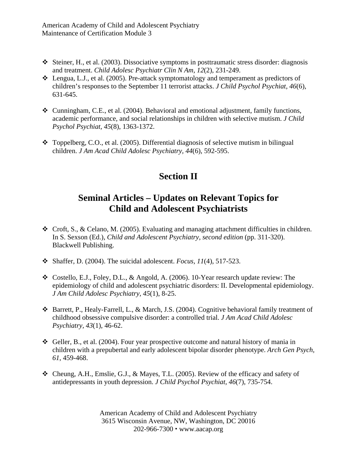- Steiner, H., et al. (2003). Dissociative symptoms in posttraumatic stress disorder: diagnosis and treatment. *Child Adolesc Psychiatr Clin N Am, 12*(2), 231-249.
- $\triangleleft$  Lengua, L.J., et al. (2005). Pre-attack symptomatology and temperament as predictors of children's responses to the September 11 terrorist attacks. *J Child Psychol Psychiat, 46*(6), 631-645.
- $\clubsuit$  Cunningham, C.E., et al. (2004). Behavioral and emotional adjustment, family functions, academic performance, and social relationships in children with selective mutism. *J Child Psychol Psychiat, 45*(8), 1363-1372.
- $\bullet$  Toppelberg, C.O., et al. (2005). Differential diagnosis of selective mutism in bilingual children. *J Am Acad Child Adolesc Psychiatry, 44*(6), 592-595.

## **Section II**

## **Seminal Articles – Updates on Relevant Topics for Child and Adolescent Psychiatrists**

- $\div$  Croft, S., & Celano, M. (2005). Evaluating and managing attachment difficulties in children. In S. Sexson (Ed.), *Child and Adolescent Psychiatry, second edition* (pp. 311-320). Blackwell Publishing.
- $\bullet$  Shaffer, D. (2004). The suicidal adolescent. *Focus, 11*(4), 517-523.
- Costello, E.J., Foley, D.L., & Angold, A. (2006). 10-Year research update review: The epidemiology of child and adolescent psychiatric disorders: II. Developmental epidemiology. *J Am Child Adolesc Psychiatry, 45*(1), 8-25.
- Barrett, P., Healy-Farrell, L., & March, J.S. (2004). Cognitive behavioral family treatment of childhood obsessive compulsive disorder: a controlled trial. *J Am Acad Child Adolesc Psychiatry, 43*(1), 46-62.
- Geller, B., et al. (2004). Four year prospective outcome and natural history of mania in children with a prepubertal and early adolescent bipolar disorder phenotype. *Arch Gen Psych, 61*, 459-468.
- $\triangleleft$  Cheung, A.H., Emslie, G.J., & Mayes, T.L. (2005). Review of the efficacy and safety of antidepressants in youth depression. *J Child Psychol Psychiat, 46*(7), 735-754.

American Academy of Child and Adolescent Psychiatry 3615 Wisconsin Avenue, NW, Washington, DC 20016 202-966-7300 www.aacap.org